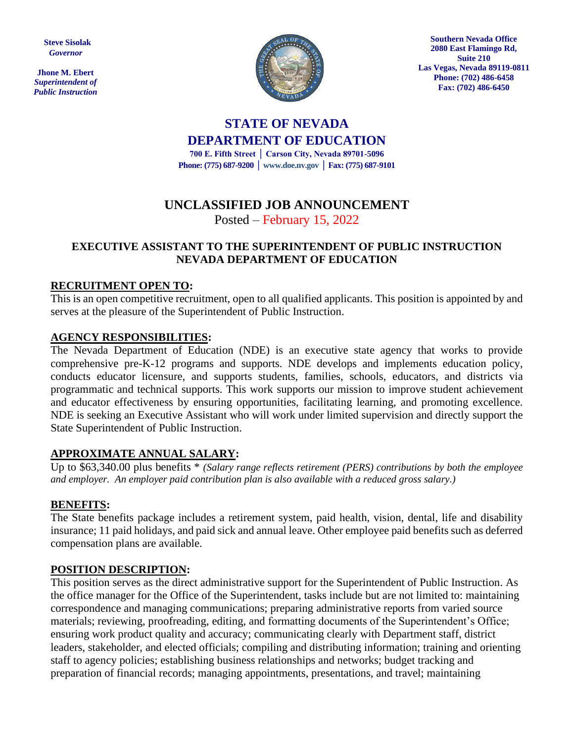**Steve Sisolak** *Governor*

**Jhone M. Ebert** *Superintendent of Public Instruction*



**Southern Nevada Office 2080 East Flamingo Rd, Suite 210 Las Vegas, Nevada 89119-0811 Phone: (702) 486-6458 Fax: (702) 486-6450**

# **STATE OF NEVADA DEPARTMENT OF EDUCATION**

**700 E. Fifth Street │ Carson City, Nevada 89701-5096 Phone: (775) 687-9200 │ www.doe.nv.gov │ Fax: (775) 687-9101**

## **UNCLASSIFIED JOB ANNOUNCEMENT**

### Posted – February 15, 2022

#### **EXECUTIVE ASSISTANT TO THE SUPERINTENDENT OF PUBLIC INSTRUCTION NEVADA DEPARTMENT OF EDUCATION**

#### **RECRUITMENT OPEN TO:**

This is an open competitive recruitment, open to all qualified applicants. This position is appointed by and serves at the pleasure of the Superintendent of Public Instruction.

#### **AGENCY RESPONSIBILITIES:**

The Nevada Department of Education (NDE) is an executive state agency that works to provide comprehensive pre-K-12 programs and supports. NDE develops and implements education policy, conducts educator licensure, and supports students, families, schools, educators, and districts via programmatic and technical supports. This work supports our mission to improve student achievement and educator effectiveness by ensuring opportunities, facilitating learning, and promoting excellence. NDE is seeking an Executive Assistant who will work under limited supervision and directly support the State Superintendent of Public Instruction.

#### **APPROXIMATE ANNUAL SALARY:**

Up to \$63,340.00 plus benefits \* *(Salary range reflects retirement (PERS) contributions by both the employee and employer. An employer paid contribution plan is also available with a reduced gross salary.)*

#### **BENEFITS:**

The State benefits package includes a retirement system, paid health, vision, dental, life and disability insurance; 11 paid holidays, and paid sick and annual leave. Other employee paid benefits such as deferred compensation plans are available.

#### **POSITION DESCRIPTION:**

This position serves as the direct administrative support for the Superintendent of Public Instruction. As the office manager for the Office of the Superintendent, tasks include but are not limited to: maintaining correspondence and managing communications; preparing administrative reports from varied source materials; reviewing, proofreading, editing, and formatting documents of the Superintendent's Office; ensuring work product quality and accuracy; communicating clearly with Department staff, district leaders, stakeholder, and elected officials; compiling and distributing information; training and orienting staff to agency policies; establishing business relationships and networks; budget tracking and preparation of financial records; managing appointments, presentations, and travel; maintaining